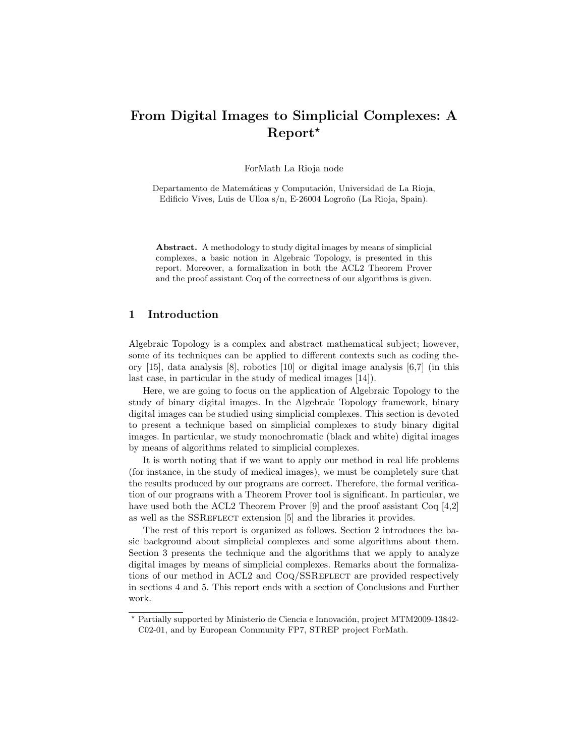# From Digital Images to Simplicial Complexes: A Report?

ForMath La Rioja node

Departamento de Matemáticas y Computación, Universidad de La Rioja, Edificio Vives, Luis de Ulloa s/n, E-26004 Logroño (La Rioja, Spain).

Abstract. A methodology to study digital images by means of simplicial complexes, a basic notion in Algebraic Topology, is presented in this report. Moreover, a formalization in both the ACL2 Theorem Prover and the proof assistant Coq of the correctness of our algorithms is given.

# 1 Introduction

Algebraic Topology is a complex and abstract mathematical subject; however, some of its techniques can be applied to different contexts such as coding theory [\[15\]](#page-11-0), data analysis [\[8\]](#page-10-0), robotics [\[10\]](#page-10-1) or digital image analysis [\[6,](#page-10-2)[7\]](#page-10-3) (in this last case, in particular in the study of medical images [\[14\]](#page-11-1)).

Here, we are going to focus on the application of Algebraic Topology to the study of binary digital images. In the Algebraic Topology framework, binary digital images can be studied using simplicial complexes. This section is devoted to present a technique based on simplicial complexes to study binary digital images. In particular, we study monochromatic (black and white) digital images by means of algorithms related to simplicial complexes.

It is worth noting that if we want to apply our method in real life problems (for instance, in the study of medical images), we must be completely sure that the results produced by our programs are correct. Therefore, the formal verification of our programs with a Theorem Prover tool is significant. In particular, we have used both the ACL2 Theorem Prover [\[9\]](#page-10-4) and the proof assistant Coq [\[4,](#page-10-5)[2\]](#page-10-6) as well as the SSREFLECT extension [\[5\]](#page-10-7) and the libraries it provides.

The rest of this report is organized as follows. Section [2](#page-1-0) introduces the basic background about simplicial complexes and some algorithms about them. Section [3](#page-2-0) presents the technique and the algorithms that we apply to analyze digital images by means of simplicial complexes. Remarks about the formalizations of our method in ACL2 and CoQ/SSREFLECT are provided respectively in sections [4](#page-4-0) and [5.](#page-8-0) This report ends with a section of Conclusions and Further work.

<sup>\*</sup> Partially supported by Ministerio de Ciencia e Innovación, project MTM2009-13842-C02-01, and by European Community FP7, STREP project ForMath.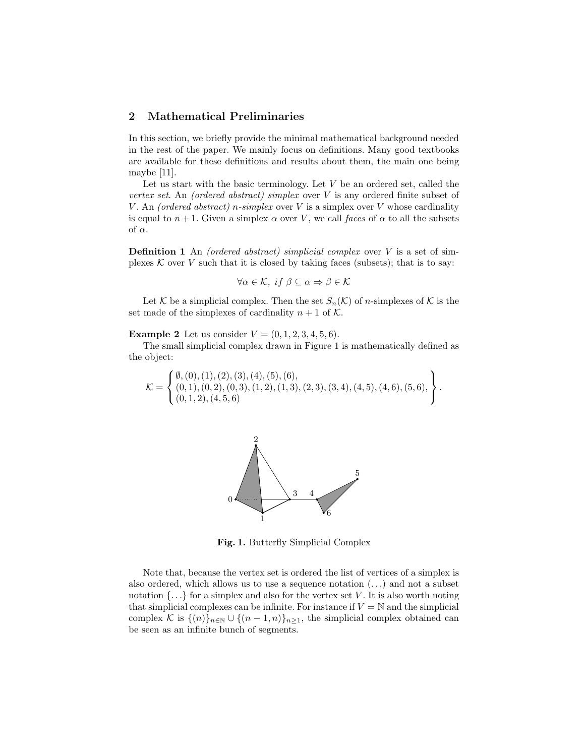## <span id="page-1-0"></span>2 Mathematical Preliminaries

In this section, we briefly provide the minimal mathematical background needed in the rest of the paper. We mainly focus on definitions. Many good textbooks are available for these definitions and results about them, the main one being maybe [\[11\]](#page-10-8).

Let us start with the basic terminology. Let  $V$  be an ordered set, called the vertex set. An (ordered abstract) simplex over  $V$  is any ordered finite subset of V. An (ordered abstract) n-simplex over V is a simplex over V whose cardinality is equal to  $n+1$ . Given a simplex  $\alpha$  over V, we call faces of  $\alpha$  to all the subsets of  $\alpha$ .

**Definition 1** An (ordered abstract) simplicial complex over  $V$  is a set of simplexes  $K$  over  $V$  such that it is closed by taking faces (subsets); that is to say:

$$
\forall \alpha \in \mathcal{K}, \; if \; \beta \subseteq \alpha \Rightarrow \beta \in \mathcal{K}
$$

Let K be a simplicial complex. Then the set  $S_n(\mathcal{K})$  of *n*-simplexes of K is the set made of the simplexes of cardinality  $n + 1$  of K.

**Example 2** Let us consider  $V = (0, 1, 2, 3, 4, 5, 6)$ .

The small simplicial complex drawn in Figure [1](#page-1-1) is mathematically defined as the object:

$$
\mathcal{K} = \left\{ \begin{matrix} \emptyset, (0), (1), (2), (3), (4), (5), (6), \\ (0, 1), (0, 2), (0, 3), (1, 2), (1, 3), (2, 3), (3, 4), (4, 5), (4, 6), (5, 6), \\ (0, 1, 2), (4, 5, 6) \end{matrix} \right\}.
$$



<span id="page-1-1"></span>Fig. 1. Butterfly Simplicial Complex

Note that, because the vertex set is ordered the list of vertices of a simplex is also ordered, which allows us to use a sequence notation  $(\ldots)$  and not a subset notation  $\{\ldots\}$  for a simplex and also for the vertex set V. It is also worth noting that simplicial complexes can be infinite. For instance if  $V = N$  and the simplicial complex K is  $\{(n)\}_{n\in\mathbb{N}}\cup\{(n-1,n)\}_{n\geq1}$ , the simplicial complex obtained can be seen as an infinite bunch of segments.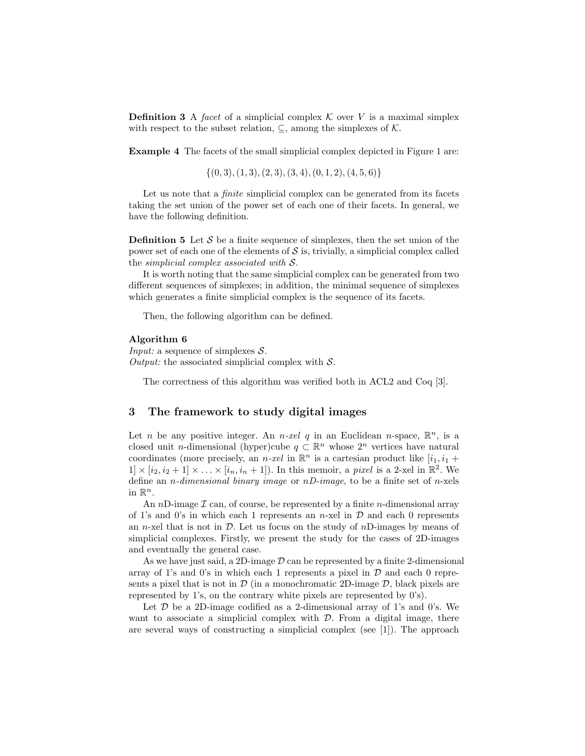**Definition 3** A facet of a simplicial complex  $\mathcal K$  over V is a maximal simplex with respect to the subset relation,  $\subseteq$ , among the simplexes of  $K$ .

Example 4 The facets of the small simplicial complex depicted in Figure [1](#page-1-1) are:

 $\{(0, 3), (1, 3), (2, 3), (3, 4), (0, 1, 2), (4, 5, 6)\}$ 

Let us note that a *finite* simplicial complex can be generated from its facets taking the set union of the power set of each one of their facets. In general, we have the following definition.

**Definition 5** Let S be a finite sequence of simplexes, then the set union of the power set of each one of the elements of  $\mathcal S$  is, trivially, a simplicial complex called the simplicial complex associated with S.

It is worth noting that the same simplicial complex can be generated from two different sequences of simplexes; in addition, the minimal sequence of simplexes which generates a finite simplicial complex is the sequence of its facets.

<span id="page-2-1"></span>Then, the following algorithm can be defined.

#### Algorithm 6

*Input:* a sequence of simplexes  $S$ . Output: the associated simplicial complex with  $S$ .

The correctness of this algorithm was verified both in ACL2 and Coq [\[3\]](#page-10-9).

### <span id="page-2-0"></span>3 The framework to study digital images

Let *n* be any positive integer. An *n-xel q* in an Euclidean *n*-space,  $\mathbb{R}^n$ , is a closed unit *n*-dimensional (hyper)cube  $q \text{ }\subset \mathbb{R}^n$  whose  $2^n$  vertices have natural coordinates (more precisely, an *n-xel* in  $\mathbb{R}^n$  is a cartesian product like  $[i_1, i_1 +$  $1] \times [i_2, i_2 + 1] \times \ldots \times [i_n, i_n + 1]$ . In this memoir, a *pixel* is a 2-xel in  $\mathbb{R}^2$ . We define an *n*-dimensional binary image or  $nD$ -image, to be a finite set of *n*-xels in  $\mathbb{R}^n$ .

An nD-image  $\mathcal I$  can, of course, be represented by a finite n-dimensional array of 1's and 0's in which each 1 represents an n-xel in  $\mathcal D$  and each 0 represents an n-xel that is not in  $\mathcal{D}$ . Let us focus on the study of nD-images by means of simplicial complexes. Firstly, we present the study for the cases of 2D-images and eventually the general case.

As we have just said, a 2D-image  $D$  can be represented by a finite 2-dimensional array of 1's and 0's in which each 1 represents a pixel in  $D$  and each 0 represents a pixel that is not in  $\mathcal{D}$  (in a monochromatic 2D-image  $\mathcal{D}$ , black pixels are represented by 1's, on the contrary white pixels are represented by 0's).

Let  $\mathcal D$  be a 2D-image codified as a 2-dimensional array of 1's and 0's. We want to associate a simplicial complex with  $D$ . From a digital image, there are several ways of constructing a simplicial complex (see [\[1\]](#page-10-10)). The approach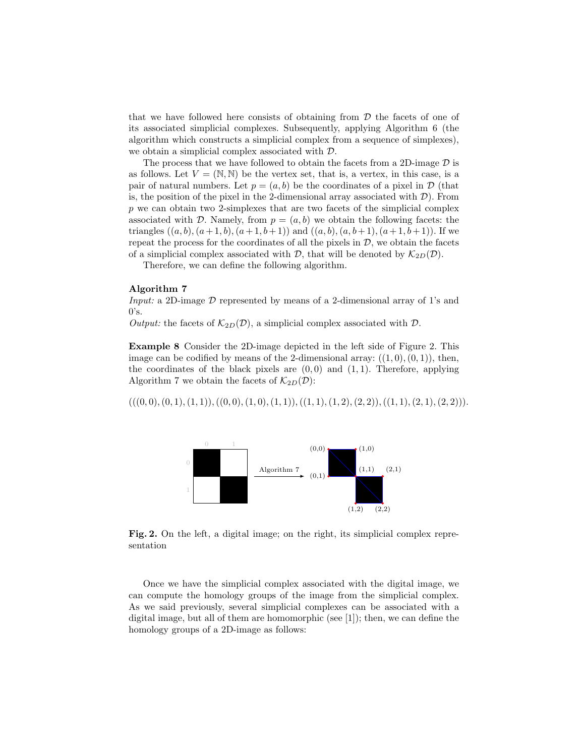that we have followed here consists of obtaining from  $D$  the facets of one of its associated simplicial complexes. Subsequently, applying Algorithm [6](#page-2-1) (the algorithm which constructs a simplicial complex from a sequence of simplexes), we obtain a simplicial complex associated with D.

The process that we have followed to obtain the facets from a 2D-image  $D$  is as follows. Let  $V = (\mathbb{N}, \mathbb{N})$  be the vertex set, that is, a vertex, in this case, is a pair of natural numbers. Let  $p = (a, b)$  be the coordinates of a pixel in D (that is, the position of the pixel in the 2-dimensional array associated with  $\mathcal{D}$ ). From p we can obtain two 2-simplexes that are two facets of the simplicial complex associated with D. Namely, from  $p = (a, b)$  we obtain the following facets: the triangles  $((a, b), (a + 1, b), (a + 1, b + 1))$  and  $((a, b), (a, b + 1), (a + 1, b + 1))$ . If we repeat the process for the coordinates of all the pixels in  $D$ , we obtain the facets of a simplicial complex associated with  $\mathcal{D}$ , that will be denoted by  $\mathcal{K}_{2D}(\mathcal{D})$ .

Therefore, we can define the following algorithm.

#### <span id="page-3-1"></span>Algorithm 7

Input: a 2D-image D represented by means of a 2-dimensional array of 1's and  $0's.$ 

Output: the facets of  $\mathcal{K}_{2D}(\mathcal{D})$ , a simplicial complex associated with  $\mathcal{D}$ .

Example 8 Consider the 2D-image depicted in the left side of Figure [2.](#page-3-0) This image can be codified by means of the 2-dimensional array:  $((1, 0), (0, 1))$ , then, the coordinates of the black pixels are  $(0, 0)$  and  $(1, 1)$ . Therefore, applying Algorithm [7](#page-3-1) we obtain the facets of  $\mathcal{K}_{2D}(\mathcal{D})$ :

 $(((0,0), (0, 1), (1, 1)), ((0, 0), (1, 0), (1, 1)), ((1, 1), (1, 2), (2, 2)),((1, 1), (2, 1), (2, 2))).$ 



<span id="page-3-0"></span>Fig. 2. On the left, a digital image; on the right, its simplicial complex representation

Once we have the simplicial complex associated with the digital image, we can compute the homology groups of the image from the simplicial complex. As we said previously, several simplicial complexes can be associated with a digital image, but all of them are homomorphic (see [\[1\]](#page-10-10)); then, we can define the homology groups of a 2D-image as follows: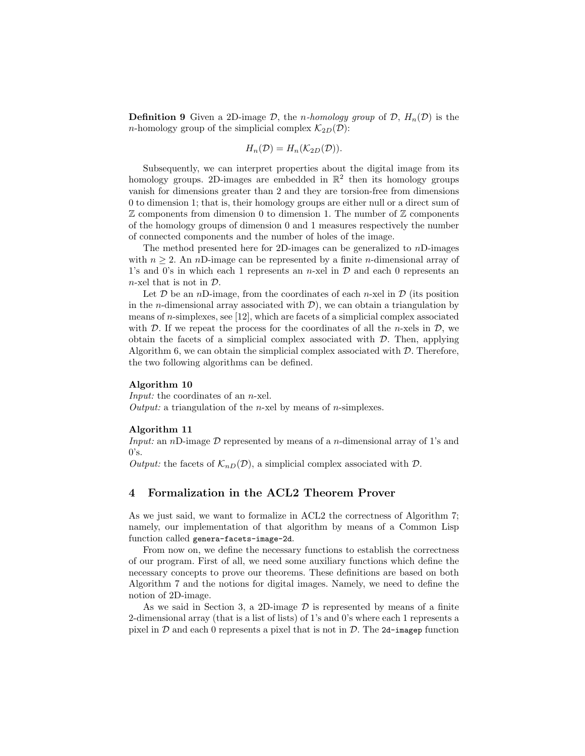**Definition 9** Given a 2D-image D, the *n*-homology group of D,  $H_n(\mathcal{D})$  is the *n*-homology group of the simplicial complex  $\mathcal{K}_{2D}(\mathcal{D})$ :

$$
H_n(\mathcal{D}) = H_n(\mathcal{K}_{2D}(\mathcal{D})).
$$

Subsequently, we can interpret properties about the digital image from its homology groups. 2D-images are embedded in  $\mathbb{R}^2$  then its homology groups vanish for dimensions greater than 2 and they are torsion-free from dimensions 0 to dimension 1; that is, their homology groups are either null or a direct sum of  $\mathbb Z$  components from dimension 0 to dimension 1. The number of  $\mathbb Z$  components of the homology groups of dimension 0 and 1 measures respectively the number of connected components and the number of holes of the image.

The method presented here for 2D-images can be generalized to  $nD$ -images with  $n \geq 2$ . An nD-image can be represented by a finite n-dimensional array of 1's and 0's in which each 1 represents an  $n$ -xel in  $\mathcal D$  and each 0 represents an  $n$ -xel that is not in  $\mathcal{D}$ .

Let  $D$  be an nD-image, from the coordinates of each n-xel in  $D$  (its position in the *n*-dimensional array associated with  $\mathcal{D}$ ), we can obtain a triangulation by means of  $n$ -simplexes, see [\[12\]](#page-10-11), which are facets of a simplicial complex associated with  $\mathcal D$ . If we repeat the process for the coordinates of all the *n*-xels in  $\mathcal D$ , we obtain the facets of a simplicial complex associated with  $D$ . Then, applying Algorithm [6,](#page-2-1) we can obtain the simplicial complex associated with  $D$ . Therefore, the two following algorithms can be defined.

#### Algorithm 10

Input: the coordinates of an *n*-xel. Output: a triangulation of the *n*-xel by means of *n*-simplexes.

#### Algorithm 11

*Input:* an nD-image  $D$  represented by means of a *n*-dimensional array of 1's and  $0's.$ 

Output: the facets of  $\mathcal{K}_{nD}(\mathcal{D})$ , a simplicial complex associated with  $\mathcal{D}$ .

# <span id="page-4-0"></span>4 Formalization in the ACL2 Theorem Prover

As we just said, we want to formalize in ACL2 the correctness of Algorithm [7;](#page-3-1) namely, our implementation of that algorithm by means of a Common Lisp function called genera-facets-image-2d.

From now on, we define the necessary functions to establish the correctness of our program. First of all, we need some auxiliary functions which define the necessary concepts to prove our theorems. These definitions are based on both Algorithm [7](#page-3-1) and the notions for digital images. Namely, we need to define the notion of 2D-image.

As we said in Section [3,](#page-2-0) a 2D-image  $\mathcal D$  is represented by means of a finite 2-dimensional array (that is a list of lists) of 1's and 0's where each 1 represents a pixel in  $\mathcal D$  and each 0 represents a pixel that is not in  $\mathcal D$ . The 2d-imagep function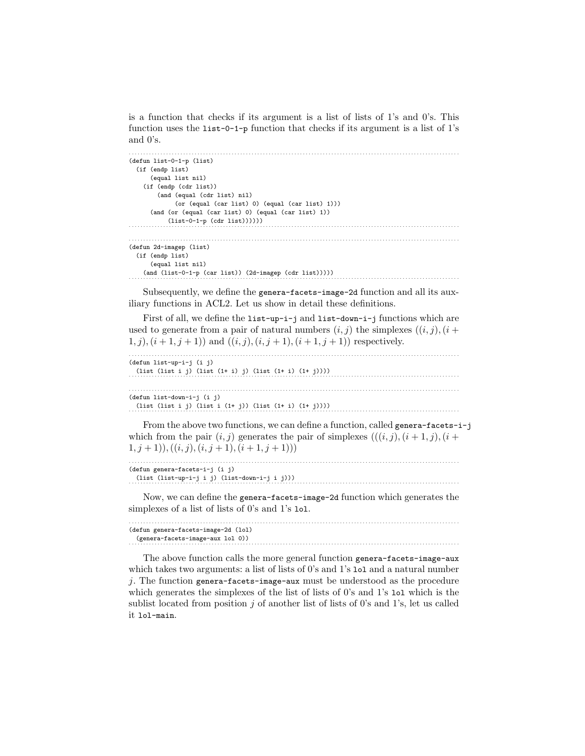is a function that checks if its argument is a list of lists of 1's and 0's. This function uses the list-0-1-p function that checks if its argument is a list of 1's and 0's.

```
. . . . . . . . . . . . . . . . . . . . . . . . . . . . . . . . . . . . . . . . . . . . . . . . . . . . . . . . . . . . . . . . . . . . . . . . . . . . . . . . . . . . . . . . . . . . . . . . . . . . . . . . . . . . . . . . . . . .
(defun list-0-1-p (list)
   (if (endp list)
          (equal list nil)
       (if (endp (cdr list))
              (and (equal (cdr list) nil)
                     (or (equal (car list) 0) (equal (car list) 1)))
          (and (or (equal (car list) 0) (equal (car list) 1))
(iist-0-1-p (cdr list)))))). . . . . . . . . . . . . . . . . . . . . . . . . . . . . . . . . . . . . . . . . . . . . . . . . . . . . . . . . . . . . . . . . . . . . . . . . . . . . . . . . . . . . . . . . . . . . . . . . . . . . . . . . . . . . . . . . . . .
(defun 2d-imagep (list)
   (if (endp list)
          (equal list nil)
(and (list-0-1-p (car list)) (2d-imagep (cdr list)))))
. . . . . . . . . . . . . . . . . . . . . . . . . . . . . . . . . . . . . . . . . . . . . . . . . . . . . . . . . . . . . . . . . . . . . . . . . . . . . . . . . . . . . . . . . . . . . . . . . . . . . . . . . . . . . . . . . . . .
```
Subsequently, we define the genera-facets-image-2d function and all its auxiliary functions in ACL2. Let us show in detail these definitions.

First of all, we define the list-up-i-j and list-down-i-j functions which are used to generate from a pair of natural numbers  $(i, j)$  the simplexes  $((i, j), (i +$  $(1, j), (i + 1, j + 1)$  and  $((i, j), (i, j + 1), (i + 1, j + 1))$  respectively.

| (defun list-up-i-j (i j)<br>$(list (list i j) (list (1 + i) j) (list (1 + i) (1 + j))))$                                                                                                 |  |
|------------------------------------------------------------------------------------------------------------------------------------------------------------------------------------------|--|
| (defun list-down-i-j (i j)<br>$(list (list i j) (list i (1 + j)) (list (1 + i) (1 + j))))$                                                                                               |  |
| From the above two functions, we can define a function, called genera-facets- $i$ -j<br>which from the poin $(i, i)$ concretes the poin of simplexes $((i, i)$ $(i + 1, i)$ $(i + 1, j)$ |  |

which from the pair  $(i, j)$  generates the pair of simplexes  $(((i, j), (i + 1, j), (i +$  $(1, j + 1), ((i, j), (i, j + 1), (i + 1, j + 1)))$ . . . . . . . . . . . . . . . . . . . . . . . . . . . . . . . . . . . . . . . . . . . . . . . . . . . . . . . . . . . . . . . . . . . . . . . . . . . . . . . . . . . . . . . . . . . . . . . . . . . . . . . . . . . . . . . . . . . .

| (defun genera-facets-i-j (i j)                |
|-----------------------------------------------|
| (list (list-up-i-j i j) (list-down-i-j i j))) |
|                                               |

Now, we can define the genera-facets-image-2d function which generates the simplexes of a list of lists of 0's and 1's lol.

. . . . . . . . . . . . . . . . . . . . . . . . . . . . . . . . . . . . . . . . . . . . . . . . . . . . . . . . . . . . . . . . . . . . . . . . . . . . . . . . . . . . . . . . . . . . . . . . . . . . . . . . . . . . . . . . . . . . (defun genera-facets-image-2d (lol) (genera-facets-image-aux lol 0)) . . . . . . . . . . . . . . . . . . . . . . . . . . . . . . . . . . . . . . . . . . . . . . . . . . . . . . . . . . . . . . . . . . . . . . . . . . . . . . . . . . . . . . . . . . . . . . . . . . . . . . . . . . . . . . . . . . . .

The above function calls the more general function genera-facets-image-aux which takes two arguments: a list of lists of 0's and 1's 1o1 and a natural number j. The function genera-facets-image-aux must be understood as the procedure which generates the simplexes of the list of lists of 0's and 1's 1o1 which is the sublist located from position  $j$  of another list of lists of 0's and 1's, let us called it lol-main.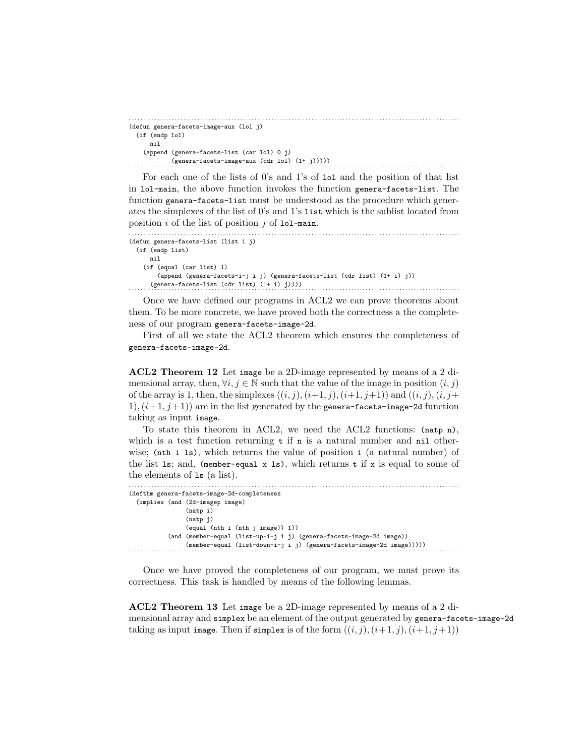```
. . . . . . . . . . . . . . . . . . . . . . . . . . . . . . . . . . . . . . . . . . . . . . . . . . . . . . . . . . . . . . . . . . . . . . . . . . . . . . . . . . . . . . . . . . . . . . . . . . . . . . . . . . . . . . . . . . . .
(defun genera-facets-image-aux (lol j)
  (if (endp lol)
       nil
     (append (genera-facets-list (car lol) 0 j)
(genera-facets-image-aux (cdr 1ol) (1+ j))))
```
For each one of the lists of 0's and 1's of lol and the position of that list in lol-main, the above function invokes the function genera-facets-list. The function genera-facets-list must be understood as the procedure which generates the simplexes of the list of 0's and 1's list which is the sublist located from position  $i$  of the list of position  $j$  of 101-main.

```
. . . . . . . . . . . . . . . . . . . . . . . . . . . . . . . . . . . . . . . . . . . . . . . . . . . . . . . . . . . . . . . . . . . . . . . . . . . . . . . . . . . . . . . . . . . . . . . . . . . . . . . . . . . . . . . . . . . .
(defun genera-facets-list (list i j)
   (if (endp list)
          nil
       (if (equal (car list) 1)
               (append (genera-facets-i-j i j) (genera-facets-list (cdr list) (1+ i) j))
           (genera-facets-list (cdr list) (1+ i) j))))
```
Once we have defined our programs in ACL2 we can prove theorems about them. To be more concrete, we have proved both the correctness a the completeness of our program genera-facets-image-2d.

First of all we state the ACL2 theorem which ensures the completeness of genera-facets-image-2d.

ACL2 Theorem 12 Let image be a 2D-image represented by means of a 2 dimensional array, then,  $\forall i, j \in \mathbb{N}$  such that the value of the image in position  $(i, j)$ of the array is 1, then, the simplexes  $((i, j), (i+1, j), (i+1, j+1))$  and  $((i, j), (i, j+1))$ 1),  $(i+1, j+1)$  are in the list generated by the genera-facets-image-2d function taking as input image.

To state this theorem in ACL2, we need the ACL2 functions: (natp n), which is a test function returning  $t$  if  $n$  is a natural number and nil otherwise; (nth i ls), which returns the value of position i (a natural number) of the list 1s; and, (member-equal x 1s), which returns  $t$  if x is equal to some of the elements of ls (a list).

```
. . . . . . . . . . . . . . . . . . . . . . . . . . . . . . . . . . . . . . . . . . . . . . . . . . . . . . . . . . . . . . . . . . . . . . . . . . . . . . . . . . . . . . . . . . . . . . . . . . . . . . . . . . . . . . . . . . . .
(defthm genera-facets-image-2d-completeness
    (implies (and (2d-imagep image)
                                     (natp i)
                                     (natp j)
                                     (equal (nth i (nth j image)) 1))
                          (and (member-equal (list-up-i-j i j) (genera-facets-image-2d image))
(member-equal (list-down-i-j i j) (genera-facets-image-2d image)))))
. . . . . . . . . . . . . . . . . . . . . . . . . . . . . . . . . . . . . . . . . . . . . . . . . . . . . . . . . . . . . . . . . . . . . . . . . . . . . . . . . . . . . . . . . . . . . . . . . . . . . . . . . . . . . . . . . . . .
```
Once we have proved the completeness of our program, we must prove its correctness. This task is handled by means of the following lemmas.

ACL2 Theorem 13 Let image be a 2D-image represented by means of a 2 dimensional array and simplex be an element of the output generated by genera-facets-image-2d taking as input image. Then if simplex is of the form  $((i, j), (i+1, j), (i+1, j+1))$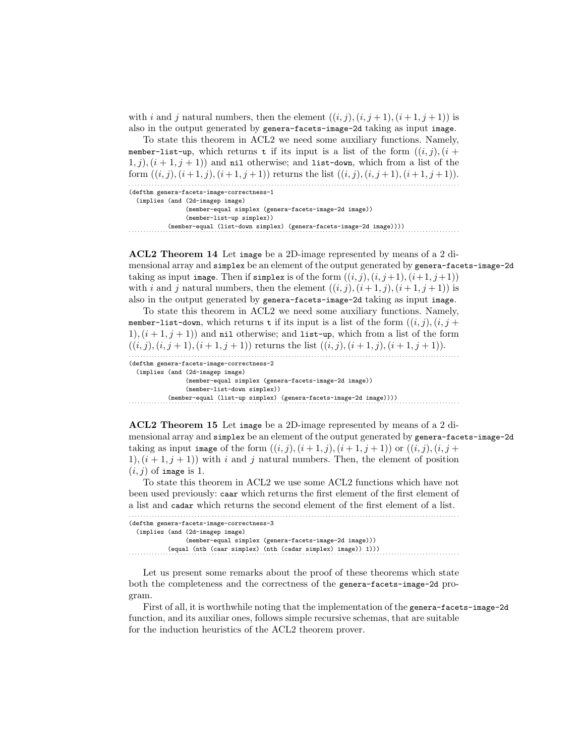with i and j natural numbers, then the element  $((i, j), (i, j + 1), (i + 1, j + 1))$  is also in the output generated by genera-facets-image-2d taking as input image.

To state this theorem in ACL2 we need some auxiliary functions. Namely, member-list-up, which returns t if its input is a list of the form  $((i, j), (i +$  $1, j), (i + 1, j + 1)$  and nil otherwise; and list-down, which from a list of the form  $((i, j), (i + 1, j), (i + 1, j + 1))$  returns the list  $((i, j), (i, j + 1), (i + 1, j + 1))$ . . . . . . . . . . . . . . . . . . . . . . . . . . . . . . . . . . . . . . . . . . . . . . . . . . . . . . . . . . . . . . . . . . . . . . . . . . . . . . . . . . . . . . . . . . . . . . . . . . . . . . . . . . . . . . . . . . . . . (defthm genera-facets-image-correctness-1 (implies (and (2d-imagep image)

```
(member-equal simplex (genera-facets-image-2d image))
                                  (member-list-up simplex))
(member-equal (list-down simplex) (genera-facets-image-2d image))))
. . . . . . . . . . . . . . . . . . . . . . . . . . . . . . . . . . . . . . . . . . . . . . . . . . . . . . . . . . . . . . . . . . . . . . . . . . . . . . . . . . . . . . . . . . . . . . . . . . . . . . . . . . . . . . . . . . . .
```
ACL2 Theorem 14 Let image be a 2D-image represented by means of a 2 dimensional array and simplex be an element of the output generated by genera-facets-image-2d taking as input image. Then if simplex is of the form  $((i, j), (i, j+1), (i+1, j+1))$ with i and j natural numbers, then the element  $((i, j), (i + 1, j), (i + 1, j + 1))$  is also in the output generated by genera-facets-image-2d taking as input image.

To state this theorem in ACL2 we need some auxiliary functions. Namely, member-list-down, which returns t if its input is a list of the form  $((i, j), (i, j +$ 1),  $(i+1, j+1)$  and nil otherwise; and list-up, which from a list of the form  $((i, j), (i, j + 1), (i + 1, j + 1))$  returns the list  $((i, j), (i + 1, j), (i + 1, j + 1)).$ . . . . . . . . . . . . . . . . . . . . . . . . . . . . . . . . . . . . . . . . . . . . . . . . . . . . . . . . . . . . . . . . . . . . . . . . . . . . . . . . . . . . . . . . . . . . . . . . . . . . . . . . . . . . . . . . . . . .

```
(defthm genera-facets-image-correctness-2
  (implies (and (2d-imagep image)
                (member-equal simplex (genera-facets-image-2d image))
                (member-list-down simplex))
```
(member-equal (list-up simplex) (genera-facets-image-2d image)))) . . . . . . . . . . . . . . . . . . . . . . . . . . . . . . . . . . . . . . . . . . . . . . . . . . . . . . . . . . . . . . . . . . . . . . . . . . . . . . . . . . . . . . . . . . . . . . . . . . . . . . . . . . . . . . . . . . . .

ACL2 Theorem 15 Let image be a 2D-image represented by means of a 2 dimensional array and simplex be an element of the output generated by genera-facets-image-2d taking as input image of the form  $((i, j), (i + 1, j), (i + 1, j + 1))$  or  $((i, j), (i, j +$ 1),  $(i + 1, j + 1)$  with i and j natural numbers. Then, the element of position  $(i, j)$  of image is 1.

To state this theorem in ACL2 we use some ACL2 functions which have not been used previously: caar which returns the first element of the first element of a list and cadar which returns the second element of the first element of a list.

| (defthm genera-facets-image-correctness-3                    |
|--------------------------------------------------------------|
| (implies (and (2d-imagep image)                              |
| (member-equal simplex (genera-facets-image-2d image)))       |
| (equal (nth (caar simplex) (nth (cadar simplex) image)) 1))) |
|                                                              |

Let us present some remarks about the proof of these theorems which state both the completeness and the correctness of the genera-facets-image-2d program.

First of all, it is worthwhile noting that the implementation of the genera-facets-image-2d function, and its auxiliar ones, follows simple recursive schemas, that are suitable for the induction heuristics of the ACL2 theorem prover.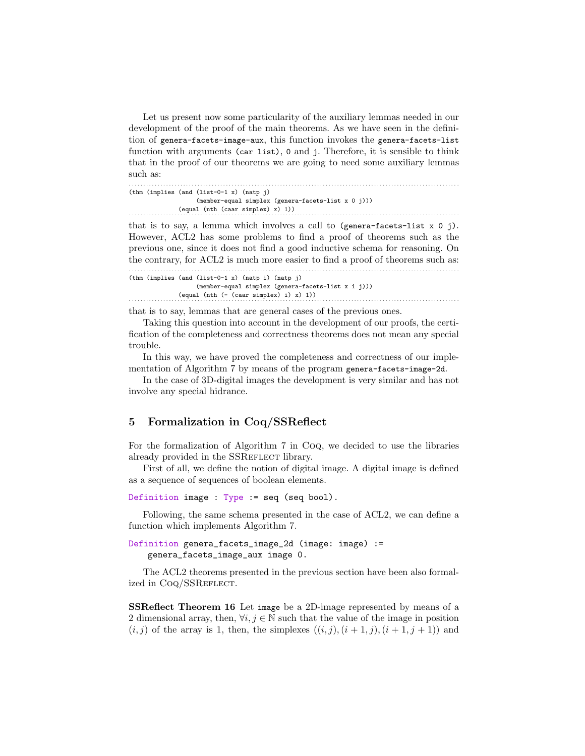Let us present now some particularity of the auxiliary lemmas needed in our development of the proof of the main theorems. As we have seen in the definition of genera-facets-image-aux, this function invokes the genera-facets-list function with arguments (car list), 0 and j. Therefore, it is sensible to think that in the proof of our theorems we are going to need some auxiliary lemmas such as:

```
. . . . . . . . . . . . . . . . . . . . . . . . . . . . . . . . . . . . . . . . . . . . . . . . . . . . . . . . . . . . . . . . . . . . . . . . . . . . . . . . . . . . . . . . . . . . . . . . . . . . . . . . . . . . . . . . . . . .
(thm (implies (and (list-0-1 x) (natp j)
                       (member-equal simplex (genera-facets-list x 0 j)))
\text{(equal (nth (caar simplex) x) 1)}
```
that is to say, a lemma which involves a call to (genera-facets-list  $x \circ j$ ). However, ACL2 has some problems to find a proof of theorems such as the previous one, since it does not find a good inductive schema for reasoning. On the contrary, for ACL2 is much more easier to find a proof of theorems such as: . . . . . . . . . . . . . . . . . . . . . . . . . . . . . . . . . . . . . . . . . . . . . . . . . . . . . . . . . . . . . . . . . . . . . . . . . . . . . . . . . . . . . . . . . . . . . . . . . . . . . . . . . . . . . . . . . . . .

```
(thm (implies (and (list-0-1 x) (natp i) (natp j)
              (member-equal simplex (genera-facets-list x i j)))
\text{(equal (nth (- (caar simplex) i) x) 1))}
```
that is to say, lemmas that are general cases of the previous ones.

Taking this question into account in the development of our proofs, the certification of the completeness and correctness theorems does not mean any special trouble.

In this way, we have proved the completeness and correctness of our imple-mentation of Algorithm [7](#page-3-1) by means of the program genera-facets-image-2d.

In the case of 3D-digital images the development is very similar and has not involve any special hidrance.

### <span id="page-8-0"></span>5 Formalization in Coq/SSReflect

For the formalization of Algorithm [7](#page-3-1) in Coq, we decided to use the libraries already provided in the SSREFLECT library.

First of all, we define the notion of digital image. A digital image is defined as a sequence of sequences of boolean elements.

```
Definition image : Type := seq (seq bool).
```
Following, the same schema presented in the case of ACL2, we can define a function which implements Algorithm [7.](#page-3-1)

```
Definition genera_facets_image_2d (image: image) :=
   genera_facets_image_aux image 0.
```
The ACL2 theorems presented in the previous section have been also formalized in CoQ/SSREFLECT.

SSReflect Theorem 16 Let image be a 2D-image represented by means of a 2 dimensional array, then,  $\forall i, j \in \mathbb{N}$  such that the value of the image in position  $(i, j)$  of the array is 1, then, the simplexes  $((i, j), (i + 1, j), (i + 1, j + 1))$  and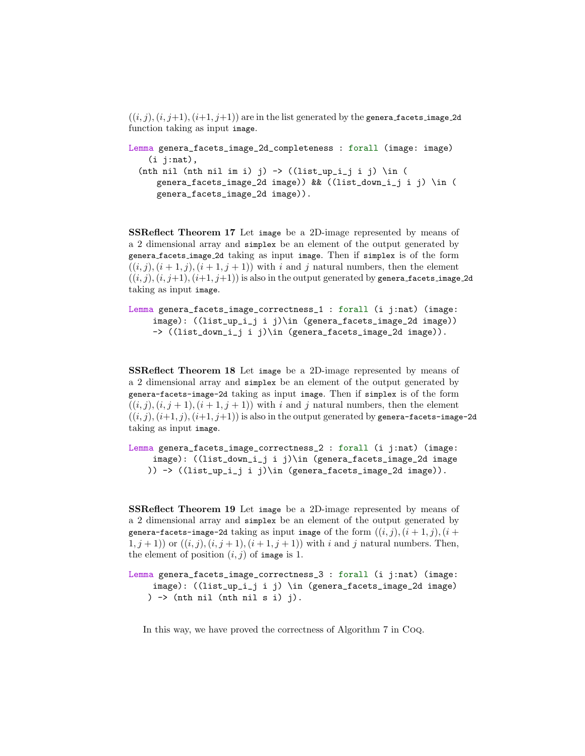$((i, j), (i, j+1), (i+1, j+1))$  are in the list generated by the genera facets image 2d function taking as input image.

```
Lemma genera_facets_image_2d_completeness : forall (image: image)
    (i j:nat),
  (nth nil (nth nil im i) j) \rightarrow ((list_up_i_j i j) \in (
     genera_facets_image_2d image)) && ((list_down_i_j i j) \in (
     genera_facets_image_2d image)).
```
SSReflect Theorem 17 Let image be a 2D-image represented by means of a 2 dimensional array and simplex be an element of the output generated by genera facets image 2d taking as input image. Then if simplex is of the form  $((i, j), (i + 1, j), (i + 1, j + 1))$  with i and j natural numbers, then the element  $((i, j), (i, j+1), (i+1, j+1))$  is also in the output generated by genera facets image 2d taking as input image.

```
Lemma genera_facets_image_correctness_1 : forall (i j:nat) (image:
    image): ((list_up_i_j i j)\in (genera_facets_image_2d image))
    -> ((list_down_i_j i j)\in (genera_facets_image_2d image)).
```
SSReflect Theorem 18 Let image be a 2D-image represented by means of a 2 dimensional array and simplex be an element of the output generated by genera-facets-image-2d taking as input image. Then if simplex is of the form  $((i, j), (i, j + 1), (i + 1, j + 1))$  with i and j natural numbers, then the element  $((i, j), (i+1, j), (i+1, j+1))$  is also in the output generated by genera-facets-image-2d taking as input image.

```
Lemma genera_facets_image_correctness_2 : forall (i j:nat) (image:
    image): ((list_down_i_j i j)\in (genera_facets_image_2d image
   )) -> ((list_up_i_j i j)\in (genera_facets_image_2d image)).
```
SSReflect Theorem 19 Let image be a 2D-image represented by means of a 2 dimensional array and simplex be an element of the output generated by genera-facets-image-2d taking as input image of the form  $((i, j), (i + 1, j), (i +$  $(1, j + 1)$  or  $((i, j), (i, j + 1), (i + 1, j + 1))$  with i and j natural numbers. Then, the element of position  $(i, j)$  of image is 1.

```
Lemma genera_facets_image_correctness_3 : forall (i j:nat) (image:
     image): ((list_up_i_j i j) \in (genera_facets_image_2d image)
   ) \rightarrow (nth nil (nth nil s i) j).
```
In this way, we have proved the correctness of Algorithm [7](#page-3-1) in Coq.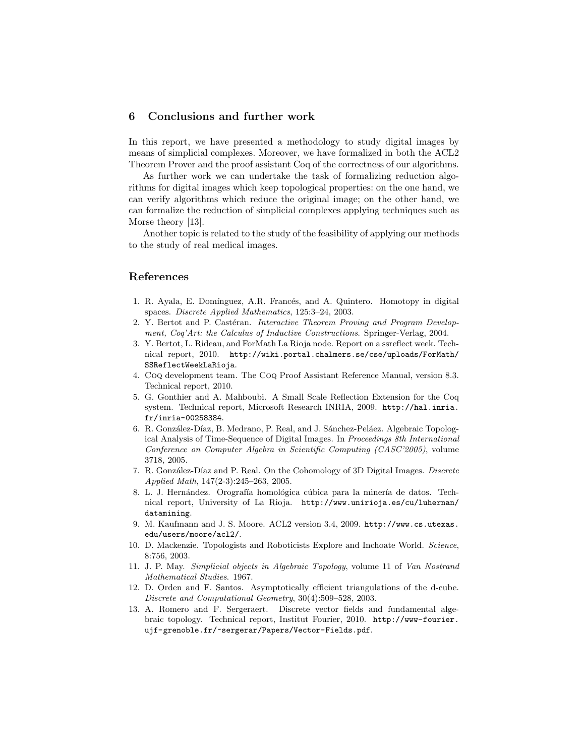# 6 Conclusions and further work

In this report, we have presented a methodology to study digital images by means of simplicial complexes. Moreover, we have formalized in both the ACL2 Theorem Prover and the proof assistant Coq of the correctness of our algorithms.

As further work we can undertake the task of formalizing reduction algorithms for digital images which keep topological properties: on the one hand, we can verify algorithms which reduce the original image; on the other hand, we can formalize the reduction of simplicial complexes applying techniques such as Morse theory [\[13\]](#page-10-12).

Another topic is related to the study of the feasibility of applying our methods to the study of real medical images.

### References

- <span id="page-10-10"></span>1. R. Ayala, E. Domínguez, A.R. Francés, and A. Quintero. Homotopy in digital spaces. Discrete Applied Mathematics, 125:3–24, 2003.
- <span id="page-10-6"></span>2. Y. Bertot and P. Castéran. *Interactive Theorem Proving and Program Develop*ment, Coq'Art: the Calculus of Inductive Constructions. Springer-Verlag, 2004.
- <span id="page-10-9"></span>3. Y. Bertot, L. Rideau, and ForMath La Rioja node. Report on a ssreflect week. Technical report, 2010. [http://wiki.portal.chalmers.se/cse/uploads/ForMath/](http://wiki.portal.chalmers.se/cse/uploads/ForMath/SSReflectWeekLaRioja) [SSReflectWeekLaRioja](http://wiki.portal.chalmers.se/cse/uploads/ForMath/SSReflectWeekLaRioja).
- <span id="page-10-5"></span>4. Coq development team. The Coq Proof Assistant Reference Manual, version 8.3. Technical report, 2010.
- <span id="page-10-7"></span>5. G. Gonthier and A. Mahboubi. A Small Scale Reflection Extension for the Coq system. Technical report, Microsoft Research INRIA, 2009. [http://hal.inria.](http://hal.inria.fr/inria-00258384) [fr/inria-00258384](http://hal.inria.fr/inria-00258384).
- <span id="page-10-2"></span>6. R. González-Díaz, B. Medrano, P. Real, and J. Sánchez-Peláez. Algebraic Topological Analysis of Time-Sequence of Digital Images. In Proceedings 8th International Conference on Computer Algebra in Scientific Computing (CASC'2005), volume 3718, 2005.
- <span id="page-10-3"></span>7. R. González-Díaz and P. Real. On the Cohomology of 3D Digital Images. Discrete Applied Math, 147(2-3):245–263, 2005.
- <span id="page-10-0"></span>8. L. J. Hernández. Orografía homológica cúbica para la minería de datos. Technical report, University of La Rioja. [http://www.unirioja.es/cu/luhernan/](http://www.unirioja.es/cu/luhernan/datamining) [datamining](http://www.unirioja.es/cu/luhernan/datamining).
- <span id="page-10-4"></span>9. M. Kaufmann and J. S. Moore. ACL2 version 3.4, 2009. [http://www.cs.utexas.](http://www.cs.utexas.edu/users/moore/acl2/) [edu/users/moore/acl2/](http://www.cs.utexas.edu/users/moore/acl2/).
- <span id="page-10-1"></span>10. D. Mackenzie. Topologists and Roboticists Explore and Inchoate World. Science, 8:756, 2003.
- <span id="page-10-8"></span>11. J. P. May. Simplicial objects in Algebraic Topology, volume 11 of Van Nostrand Mathematical Studies. 1967.
- <span id="page-10-11"></span>12. D. Orden and F. Santos. Asymptotically efficient triangulations of the d-cube. Discrete and Computational Geometry, 30(4):509–528, 2003.
- <span id="page-10-12"></span>13. A. Romero and F. Sergeraert. Discrete vector fields and fundamental algebraic topology. Technical report, Institut Fourier, 2010. [http://www-fourier.](http://www-fourier.ujf-grenoble.fr/~sergerar/Papers/Vector-Fields.pdf) [ujf-grenoble.fr/~sergerar/Papers/Vector-Fields.pdf](http://www-fourier.ujf-grenoble.fr/~sergerar/Papers/Vector-Fields.pdf).